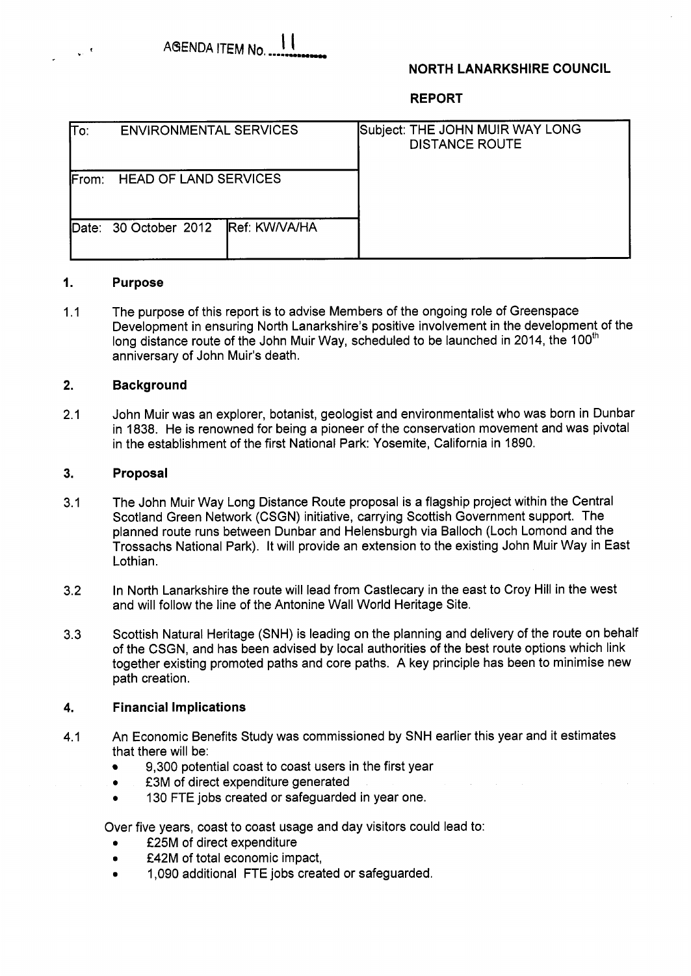# **NORTH LANARKSHIRE COUNCIL**

**REPORT** 

| lTo:                                          | <b>ENVIRONMENTAL SERVICES</b> |                      | Subject: THE JOHN MUIR WAY LONG<br><b>DISTANCE ROUTE</b> |
|-----------------------------------------------|-------------------------------|----------------------|----------------------------------------------------------|
| <b>HEAD OF LAND SERVICES</b><br><b>IFrom:</b> |                               |                      |                                                          |
| <b>IDate:</b>                                 | 30 October 2012               | <b>Ref: KW/VA/HA</b> |                                                          |

## **1. Purpose**

1.1 The purpose of this report is to advise Members of the ongoing role of Greenspace Development in ensuring North Lanarkshire's positive involvement in the development of the long distance route of the John Muir Way, scheduled to be launched in 2014, the 100<sup>th</sup> anniversary of John Muir's death.

## **2. Background**

2.1 John Muir was an explorer, botanist, geologist and environmentalist who was born in Dunbar in 1838. He is renowned for being a pioneer of the conservation movement and was pivotal in the establishment of the first National Park: Yosemite, California in 1890.

#### **3. Proposal**

- 3.1 The John Muir Way Long Distance Route proposal is a flagship project within the Central Scotland Green Network (CSGN) initiative, carrying Scottish Government support. The planned route runs between Dunbar and Helensburgh via Balloch (Loch Lomond and the Trossachs National Park). It will provide an extension to the existing John Muir Way in East Lothian.
- 3.2 In North Lanarkshire the route will lead from Castlecary in the east to Croy Hill in the west and will follow the line of the Antonine Wall World Heritage Site.
- 3.3 Scottish Natural Heritage (SNH) is leading on the planning and delivery of the route on behalf of the CSGN, and has been advised by local authorities of the best route options which link together existing promoted paths and core paths. A key principle has been to minimise new path creation.

#### **4. Financial Implications**

- 4.1 An Economic Benefits Study was commissioned by SNH earlier this year and it estimates that there will be:
	- 9,300 potential coast to coast users in the first year
	- *0*  £3M of direct expenditure generated
	- *0*  130 FTE jobs created or safeguarded in year one.

Over five years, coast to coast usage and day visitors could lead to:

- £25M of direct expenditure
- *0*  £42M of total economic impact,
- *0*  1,090 additional FTE jobs created or safeguarded.